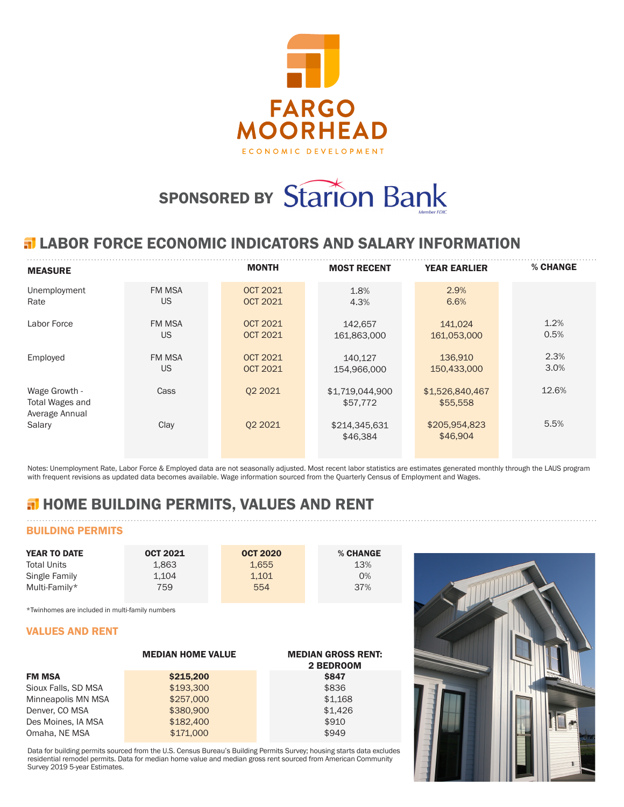

# SPONSORED BY Starion Bank

## **ELABOR FORCE ECONOMIC INDICATORS AND SALARY INFORMATION**

| <b>MEASURE</b>                                     |               | <b>MONTH</b>    | <b>MOST RECENT</b>          | <b>YEAR EARLIER</b>         | % CHANGE |
|----------------------------------------------------|---------------|-----------------|-----------------------------|-----------------------------|----------|
| Unemployment                                       | <b>FM MSA</b> | <b>OCT 2021</b> | 1.8%                        | 2.9%                        |          |
| Rate                                               | <b>US</b>     | <b>OCT 2021</b> | 4.3%                        | 6.6%                        |          |
| Labor Force                                        | <b>FM MSA</b> | <b>OCT 2021</b> | 142,657                     | 141,024                     | 1.2%     |
|                                                    | US            | <b>OCT 2021</b> | 161,863,000                 | 161,053,000                 | 0.5%     |
| Employed                                           | <b>FM MSA</b> | <b>OCT 2021</b> | 140.127                     | 136,910                     | 2.3%     |
|                                                    | US            | <b>OCT 2021</b> | 154,966,000                 | 150,433,000                 | 3.0%     |
| Wage Growth -<br>Total Wages and<br>Average Annual | Cass          | 02 2021         | \$1,719,044,900<br>\$57,772 | \$1,526,840,467<br>\$55,558 | 12.6%    |
| Salary                                             | Clay          | 02 2021         | \$214,345,631<br>\$46,384   | \$205,954,823<br>\$46,904   | 5.5%     |

Notes: Unemployment Rate, Labor Force & Employed data are not seasonally adjusted. Most recent labor statistics are estimates generated monthly through the LAUS program with frequent revisions as updated data becomes available. Wage information sourced from the Quarterly Census of Employment and Wages.

# **H** HOME BUILDING PERMITS, VALUES AND RENT

## BUILDING PERMITS

| <b>YEAR TO DATE</b> | <b>OCT 2021</b> | <b>OCT 2020</b> | % CHANGE |
|---------------------|-----------------|-----------------|----------|
| <b>Total Units</b>  | 1.863           | 1.655           | 13%      |
| Single Family       | 1.104           | 1.101           | 0%       |
| Multi-Family*       | 759             | 554             | 37%      |

\*Twinhomes are included in multi-family numbers

#### VALUES AND RENT

|                     | <b>MEDIAN HOME VALUE</b> | <b>MEDIAN GROSS RENT:</b><br>2 BEDROOM |
|---------------------|--------------------------|----------------------------------------|
| <b>FM MSA</b>       | \$215,200                | <b>\$847</b>                           |
| Sioux Falls, SD MSA | \$193,300                | \$836                                  |
| Minneapolis MN MSA  | \$257,000                | \$1.168                                |
| Denver, CO MSA      | \$380,900                | \$1.426                                |
| Des Moines, IA MSA  | \$182,400                | \$910                                  |
| Omaha, NE MSA       | \$171,000                | \$949                                  |

Data for building permits sourced from the U.S. Census Bureau's Building Permits Survey; housing starts data excludes residential remodel permits. Data for median home value and median gross rent sourced from American Community Survey 2019 5-year Estimates.